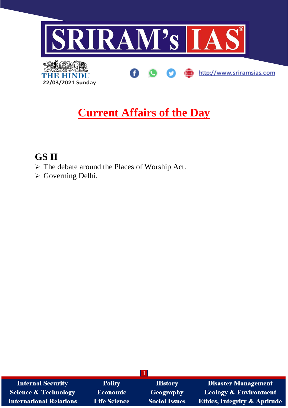

# **Current Affairs of the Day**

## **GS II**

- ➢ The debate around the Places of Worship Act.
- ➢ Governing Delhi.

| <b>Internal Security</b>        | <b>Polity</b>       | <b>History</b>       | <b>Disaster Management</b>              |
|---------------------------------|---------------------|----------------------|-----------------------------------------|
| <b>Science &amp; Technology</b> | <b>Economic</b>     | <b>Geography</b>     | <b>Ecology &amp; Environment</b>        |
| <b>International Relations</b>  | <b>Life Science</b> | <b>Social Issues</b> | <b>Ethics, Integrity &amp; Aptitude</b> |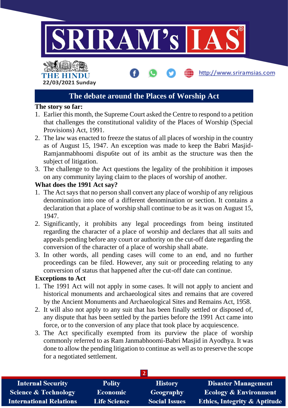

http://www.sriramsias.com

# THE HINDL **22/03/2021 Sunday**

### **The debate around the Places of Worship Act**

#### **The story so far:**

- 1. Earlier this month, the Supreme Court asked the Centre to respond to a petition that challenges the constitutional validity of the Places of Worship (Special Provisions) Act, 1991.
- 2. The law was enacted to freeze the status of all places of worship in the country as of August 15, 1947. An exception was made to keep the Babri Masjid-Ramjanmabhoomi dispu6te out of its ambit as the structure was then the subject of litigation.
- 3. The challenge to the Act questions the legality of the prohibition it imposes on any community laying claim to the places of worship of another.

#### **What does the 1991 Act say?**

- 1. The Act says that no person shall convert any place of worship of any religious denomination into one of a different denomination or section. It contains a declaration that a place of worship shall continue to be as it was on August 15, 1947.
- 2. Significantly, it prohibits any legal proceedings from being instituted regarding the character of a place of worship and declares that all suits and appeals pending before any court or authority on the cut-off date regarding the conversion of the character of a place of worship shall abate.
- 3. In other words, all pending cases will come to an end, and no further proceedings can be filed. However, any suit or proceeding relating to any conversion of status that happened after the cut-off date can continue.

#### **Exceptions to Act**

- 1. The 1991 Act will not apply in some cases. It will not apply to ancient and historical monuments and archaeological sites and remains that are covered by the Ancient Monuments and Archaeological Sites and Remains Act, 1958.
- 2. It will also not apply to any suit that has been finally settled or disposed of, any dispute that has been settled by the parties before the 1991 Act came into force, or to the conversion of any place that took place by acquiescence.
- 3. The Act specifically exempted from its purview the place of worship commonly referred to as Ram Janmabhoomi-Babri Masjid in Ayodhya. It was done to allow the pending litigation to continue as well as to preserve the scope for a negotiated settlement.

| <b>Internal Security</b>        | <b>Polity</b>       | <b>History</b>       | <b>Disaster Management</b>              |
|---------------------------------|---------------------|----------------------|-----------------------------------------|
| <b>Science &amp; Technology</b> | <b>Economic</b>     | Geography            | <b>Ecology &amp; Environment</b>        |
| <b>International Relations</b>  | <b>Life Science</b> | <b>Social Issues</b> | <b>Ethics, Integrity &amp; Aptitude</b> |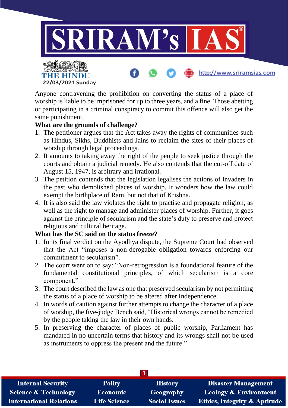

Anyone contravening the prohibition on converting the status of a place of worship is liable to be imprisoned for up to three years, and a fine. Those abetting or participating in a criminal conspiracy to commit this offence will also get the same punishment.

#### **What are the grounds of challenge?**

**22/03/2021 Sunday**

THE HINDI

- 1. The petitioner argues that the Act takes away the rights of communities such as Hindus, Sikhs, Buddhists and Jains to reclaim the sites of their places of worship through legal proceedings.
- 2. It amounts to taking away the right of the people to seek justice through the courts and obtain a judicial remedy. He also contends that the cut-off date of August 15, 1947, is arbitrary and irrational.
- 3. The petition contends that the legislation legalises the actions of invaders in the past who demolished places of worship. It wonders how the law could exempt the birthplace of Ram, but not that of Krishna.
- 4. It is also said the law violates the right to practise and propagate religion, as well as the right to manage and administer places of worship. Further, it goes against the principle of secularism and the state's duty to preserve and protect religious and cultural heritage.

#### **What has the SC said on the status freeze?**

- 1. In its final verdict on the Ayodhya dispute, the Supreme Court had observed that the Act "imposes a non-derogable obligation towards enforcing our commitment to secularism".
- 2. The court went on to say: "Non-retrogression is a foundational feature of the fundamental constitutional principles, of which secularism is a core component."
- 3. The court described the law as one that preserved secularism by not permitting the status of a place of worship to be altered after Independence.
- 4. In words of caution against further attempts to change the character of a place of worship, the five-judge Bench said, "Historical wrongs cannot be remedied by the people taking the law in their own hands.
- 5. In preserving the character of places of public worship, Parliament has mandated in no uncertain terms that history and its wrongs shall not be used as instruments to oppress the present and the future."

| <b>Internal Security</b>        | <b>Polity</b>       | <b>History</b>       | <b>Disaster Management</b>              |
|---------------------------------|---------------------|----------------------|-----------------------------------------|
| <b>Science &amp; Technology</b> | <b>Economic</b>     | Geography            | <b>Ecology &amp; Environment</b>        |
| <b>International Relations</b>  | <b>Life Science</b> | <b>Social Issues</b> | <b>Ethics, Integrity &amp; Aptitude</b> |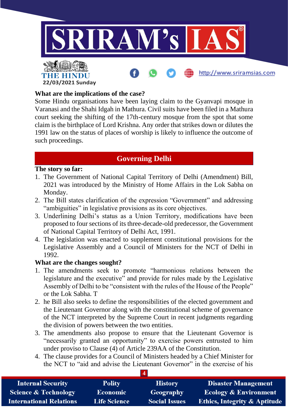

#### **What are the implications of the case?**

**22/03/2021 Sunday**

Some Hindu organisations have been laying claim to the Gyanvapi mosque in Varanasi and the Shahi Idgah in Mathura. Civil suits have been filed in a Mathura court seeking the shifting of the 17th-century mosque from the spot that some claim is the birthplace of Lord Krishna. Any order that strikes down or dilutes the 1991 law on the status of places of worship is likely to influence the outcome of such proceedings.

### **Governing Delhi**

#### **The story so far:**

- 1. The Government of National Capital Territory of Delhi (Amendment) Bill, 2021 was introduced by the Ministry of Home Affairs in the Lok Sabha on Monday.
- 2. The Bill states clarification of the expression "Government" and addressing "ambiguities" in legislative provisions as its core objectives.
- 3. Underlining Delhi's status as a Union Territory, modifications have been proposed to four sections of its three-decade-old predecessor, the Government of National Capital Territory of Delhi Act, 1991.
- 4. The legislation was enacted to supplement constitutional provisions for the Legislative Assembly and a Council of Ministers for the NCT of Delhi in 1992.

#### **What are the changes sought?**

- 1. The amendments seek to promote "harmonious relations between the legislature and the executive" and provide for rules made by the Legislative Assembly of Delhi to be "consistent with the rules of the House of the People" or the Lok Sabha. T
- 2. he Bill also seeks to define the responsibilities of the elected government and the Lieutenant Governor along with the constitutional scheme of governance of the NCT interpreted by the Supreme Court in recent judgments regarding the division of powers between the two entities.
- 3. The amendments also propose to ensure that the Lieutenant Governor is "necessarily granted an opportunity" to exercise powers entrusted to him under proviso to Clause (4) of Article 239AA of the Constitution.
- 4. The clause provides for a Council of Ministers headed by a Chief Minister for the NCT to "aid and advise the Lieutenant Governor" in the exercise of his

| <b>Internal Security</b>        | <b>Polity</b>       | <b>History</b>       | <b>Disaster Management</b>              |
|---------------------------------|---------------------|----------------------|-----------------------------------------|
| <b>Science &amp; Technology</b> | <b>Economic</b>     | Geography            | <b>Ecology &amp; Environment</b>        |
| <b>International Relations</b>  | <b>Life Science</b> | <b>Social Issues</b> | <b>Ethics, Integrity &amp; Aptitude</b> |